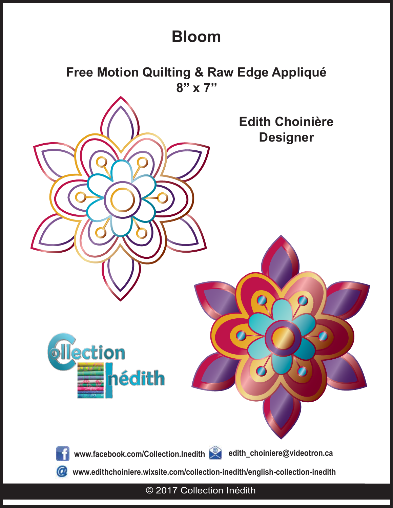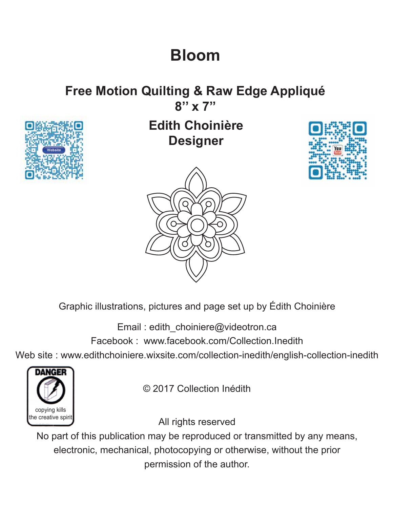# **Free Motion Quilting & Raw Edge Appliqué**





### **Edith Choinière Designer**





Graphic illustrations, pictures and page set up by Édith Choinière

Email : edith\_choiniere@videotron.ca Facebook : www.facebook.com/Collection.Inedith

Web site : www.edithchoiniere.wixsite.com/collection-inedith/english-collection-inedith



© 2017 Collection Inédith

All rights reserved

No part of this publication may be reproduced or transmitted by any means, electronic, mechanical, photocopying or otherwise, without the prior permission of the author.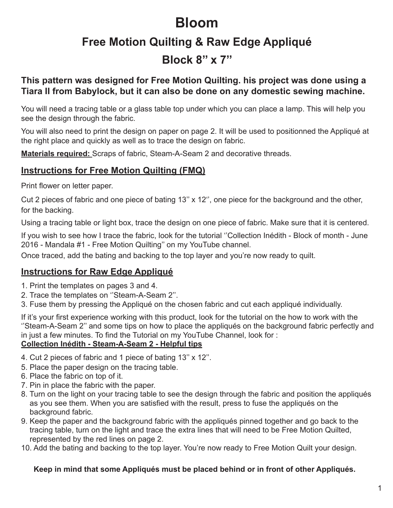### **Free Motion Quilting & Raw Edge Appliqué Block 8'' x 7''**

#### **This pattern was designed for Free Motion Quilting. his project was done using a Tiara II from Babylock, but it can also be done on any domestic sewing machine.**

You will need a tracing table or a glass table top under which you can place a lamp. This will help you see the design through the fabric.

You will also need to print the design on paper on page 2. It will be used to positionned the Appliqué at the right place and quickly as well as to trace the design on fabric.

**Materials required:** Scraps of fabric, Steam-A-Seam 2 and decorative threads.

#### **Instructions for Free Motion Quilting (FMQ)**

Print flower on letter paper.

Cut 2 pieces of fabric and one piece of bating 13'' x 12'', one piece for the background and the other, for the backing.

Using a tracing table or light box, trace the design on one piece of fabric. Make sure that it is centered.

If you wish to see how I trace the fabric, look for the tutorial ''Collection Inédith - Block of month - June 2016 - Mandala #1 - Free Motion Quilting'' on my YouTube channel.

Once traced, add the bating and backing to the top layer and you're now ready to quilt.

### **Instructions for Raw Edge Appliqué**

- 1. Print the templates on pages 3 and 4.
- 2. Trace the templates on ''Steam-A-Seam 2''.
- 3. Fuse them by pressing the Appliqué on the chosen fabric and cut each appliqué individually.

If it's your first experience working with this product, look for the tutorial on the how to work with the ''Steam-A-Seam 2'' and some tips on how to place the appliqués on the background fabric perfectly and in just a few minutes. To find the Tutorial on my YouTube Channel, look for : **Collection Inédith - Steam-A-Seam 2 - Helpful tips**

- 4. Cut 2 pieces of fabric and 1 piece of bating 13'' x 12''.
- 5. Place the paper design on the tracing table.
- 6. Place the fabric on top of it.
- 7. Pin in place the fabric with the paper.
- 8. Turn on the light on your tracing table to see the design through the fabric and position the appliqués as you see them. When you are satisfied with the result, press to fuse the appliqués on the background fabric.
- 9. Keep the paper and the background fabric with the appliqués pinned together and go back to the tracing table, turn on the light and trace the extra lines that will need to be Free Motion Quilted, represented by the red lines on page 2.
- 10. Add the bating and backing to the top layer. You're now ready to Free Motion Quilt your design.

#### **Keep in mind that some Appliqués must be placed behind or in front of other Appliqués.**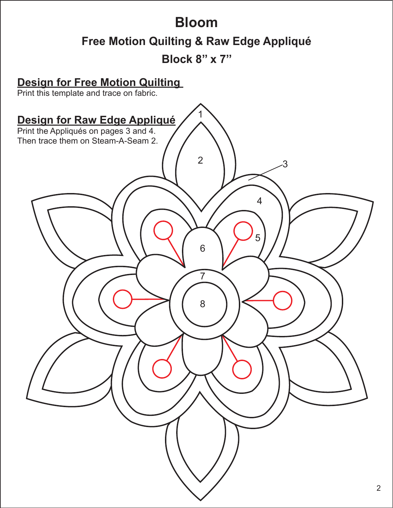### **Bloom Free Motion Quilting & Raw Edge Appliqué Block 8'' x 7''**

# 2 8 7 5 6 4 3 1 **Design for Free Motion Quilting**  Print this template and trace on fabric. **Design for Raw Edge Appliqué** Print the Appliqués on pages 3 and 4. Then trace them on Steam-A-Seam 2.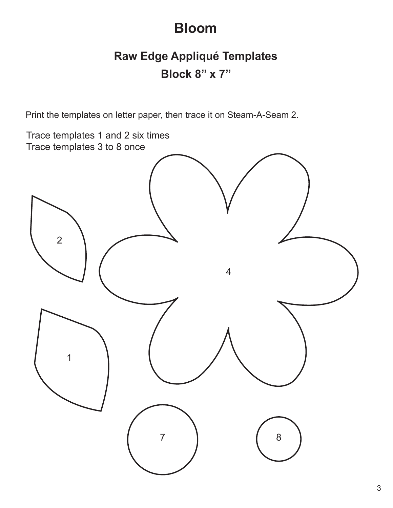### **Raw Edge Appliqué Templates Block 8'' x 7''**

Print the templates on letter paper, then trace it on Steam-A-Seam 2.